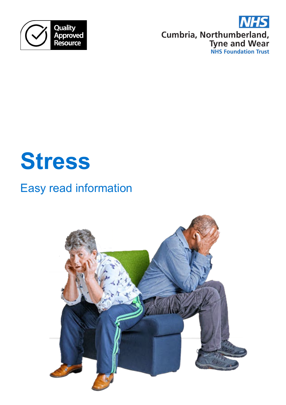

**NHS Cumbria, Northumberland,<br>Tyne and Wear<br>NHS Foundation Trust** 

# **Stress**

# Easy read information

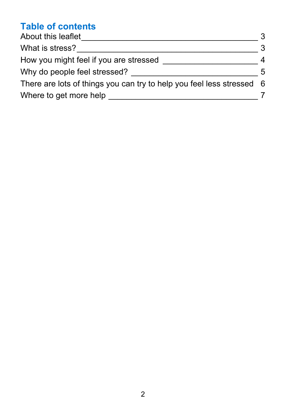# **Table of contents**

| About this leaflet<br>What is stress?<br>How you might feel if you are stressed | 3   |
|---------------------------------------------------------------------------------|-----|
|                                                                                 | 3   |
|                                                                                 | 4   |
| Why do people feel stressed?                                                    | 5   |
| There are lots of things you can try to help you feel less stressed             | - 6 |
| Where to get more help                                                          |     |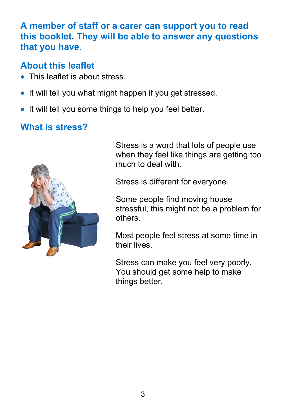#### **A member of staff or a carer can support you to read this booklet. They will be able to answer any questions that you have.**

# <span id="page-2-0"></span>**About this leaflet**

- This leaflet is about stress.
- It will tell you what might happen if you get stressed.
- It will tell you some things to help you feel better.

# <span id="page-2-1"></span>**What is stress?**



Stress is a word that lots of people use when they feel like things are getting too much to deal with.

Stress is different for everyone.

Some people find moving house stressful, this might not be a problem for others.

Most people feel stress at some time in their lives.

Stress can make you feel very poorly. You should get some help to make things better.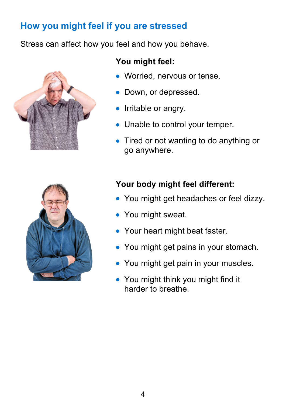# <span id="page-3-0"></span>**How you might feel if you are stressed**

Stress can affect how you feel and how you behave.



#### **You might feel:**

- Worried, nervous or tense.
- Down, or depressed.
- Irritable or angry.
- Unable to control your temper.
- Tired or not wanting to do anything or go anywhere.



#### **Your body might feel different:**

- You might get headaches or feel dizzy.
- You might sweat.
- Your heart might beat faster.
- You might get pains in your stomach.
- You might get pain in your muscles.
- You might think you might find it harder to breathe.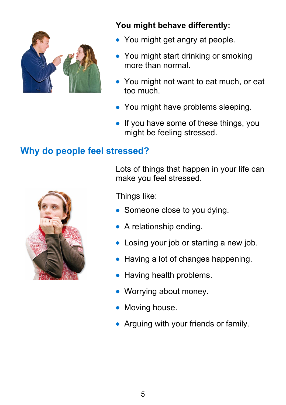

#### **You might behave differently:**

- You might get angry at people.
- You might start drinking or smoking more than normal.
- You might not want to eat much, or eat too much.
- You might have problems sleeping.
- If you have some of these things, you might be feeling stressed.

# <span id="page-4-0"></span>**Why do people feel stressed?**



Lots of things that happen in your life can make you feel stressed.

Things like:

- Someone close to you dying.
- A relationship ending.
- Losing your job or starting a new job.
- Having a lot of changes happening.
- Having health problems.
- Worrying about money.
- Moving house.
- Arguing with your friends or family.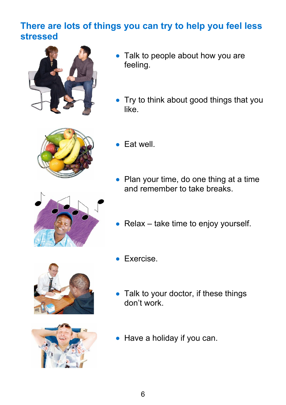# <span id="page-5-0"></span>**There are lots of things you can try to help you feel less stressed**



- Talk to people about how you are feeling.
- Try to think about good things that you like.



- Eat well.
- Plan your time, do one thing at a time and remember to take breaks.



• Relax – take time to enjoy yourself.





- Exercise.
- Talk to your doctor, if these things don't work.
- Have a holiday if you can.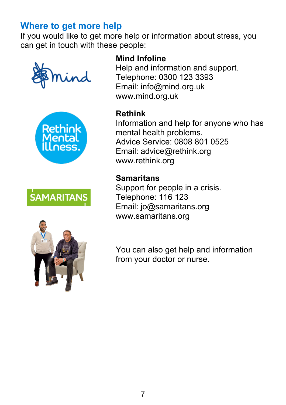# <span id="page-6-0"></span>**Where to get more help**

If you would like to get more help or information about stress, you can get in touch with these people:









#### **Mind Infoline**

Help and information and support. Telephone: 0300 123 3393 Email: info@mind.org.uk www.mind.org.uk

#### **Rethink**

Information and help for anyone who has mental health problems. Advice Service: 0808 801 0525 Email: advice@rethink.org www.rethink.org

#### **Samaritans**

Support for people in a crisis. Telephone: 116 123 Email: jo@samaritans.org www.samaritans.org

You can also get help and information from your doctor or nurse.